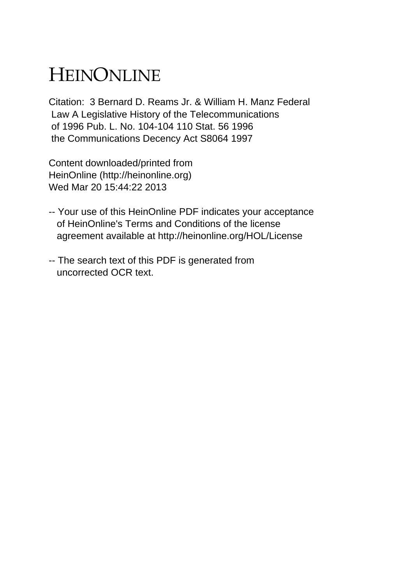## HEINONLINE

Citation: 3 Bernard D. Reams Jr. & William H. Manz Federal Law A Legislative History of the Telecommunications of 1996 Pub. L. No. 104-104 110 Stat. 56 1996 the Communications Decency Act S8064 1997

Content downloaded/printed from HeinOnline (http://heinonline.org) Wed Mar 20 15:44:22 2013

- -- Your use of this HeinOnline PDF indicates your acceptance of HeinOnline's Terms and Conditions of the license agreement available at http://heinonline.org/HOL/License
- -- The search text of this PDF is generated from uncorrected OCR text.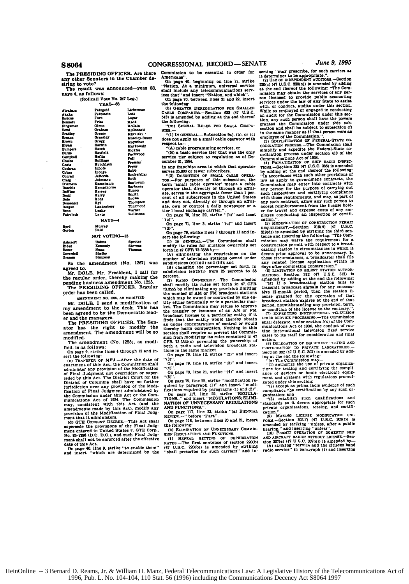The PRESIDING OFFICER. Are there any other Senators in the Chamber de-<br>siring to vote?

The result was announced-yeas 83. nays 4, as follows:

(Rollcall Vote No. 247 Leg.) **VEAS-83** 

| ibraham          | Feinroid        | Lieberman                |
|------------------|-----------------|--------------------------|
| aka ka           | Fetnatoin       | Lott                     |
| <b>lancus</b>    | Ford            | Lutar                    |
| iennett.         | Frist           | Mack                     |
| linguman         | Glenn           | McCain                   |
| hood             | Graham          | McConnell                |
| iradley          | Grems           | Mikulaki '               |
| lreanz           | <b>Grassiev</b> | Moseley-Braun            |
| bova.            | Gregg           | Mornihan                 |
| محط              | Harkin          | Morkowski                |
| Bumpers          | Hatch           | <b>Nickles</b>           |
| lturns           | Hatfield        | Packwood                 |
| <b>Campboll</b>  | Heflin          | Pall                     |
| <b>The first</b> | <b>Hollings</b> | Presier                  |
| Conta            | Hutchisca       | Prvor                    |
| Cochran          | Inhofa          | Robb                     |
| mac.             | Inoure          | <b>Rockefeller</b>       |
| <b>Contract</b>  | <b>Jeffords</b> | Roth                     |
| ملحت             | Johnston        | Sentorum                 |
| D'Amato          | Kassebaum       |                          |
| Daachle          | Kempthorne      | <b>Barbanes</b>          |
| DeWine           | <b>Earrey</b>   | <b>Birnon</b>            |
| Dodd             | Eerry           | <b>Braith</b>            |
| Dolo             | Kohl            | <b>Snown</b>             |
| Domenici         | Kyl             | Thompson                 |
| Dorgan           | Lantenberg      | Thurmond                 |
| <b>Rxon</b>      | Leahy           | Warner                   |
| <b>Faircloth</b> | Levin           | Wellstone                |
|                  | $NAY8-4$        |                          |
| Brıd             | Murray          |                          |
| Clorton          | Reid            |                          |
|                  | -------         | $\overline{\phantom{a}}$ |

NOT VOTIN Helms<br>Kennedy **Specter**<br>Bievens Biden<br>Bozer Coverdell Shelby<br>Simpso

So the amendment (No. 1267) was agreed to

Mr. DOLE. Mr. President, I call for the regular order, thereby making the<br>pending business amendment No. 1255.<br>The PRESIDING OFFICER. Regular

order has been called.

AMENDMENT NO. 1265, AB MODIFIED

Mr. DOLE. I send a modification of<br>my amendment to the desk. This has<br>been agreed to by the Democratic lead-

er and the managers.<br>The PRESIDING OFFICER. The Senand resolutive or factor. The sen-<br>ator has the right to modify the<br>amendment. The amendment will be so modified.

The amendment (No. 1255), as modi-

The amendment (No. 1255), as modi-<br>
fled, 186 follows:<br>
The amendment (No. 1255), as modi-<br>
on page 9, strike lines 4 through 12 and in-<br>
set the following:<br>
on page 9, strike lines Art, the Commission shall<br>
equation of alley, considerable by this Act), modify any<br>provision of the Modification of Final Judgment that it administers.

ment that it administers.<br>
(d) GTE CONSENT DECREE.-This Act shall<br>
supersede the provisions of the Final Judgment entered in United States v. GTE Corp...<br>
No. 89-1296 (D.C. D.C.), and such Pinal Judgment and States Corp...

nont shall not be enforced after the effective<br>date of this Act.<br>On page 40, line 9, strike "to enable them"<br>On page 40, line 9, strike "to enable them"<br>and insert "which are determined by the

commission to be essential in order for Americans

Americans<sup>11</sup>. On page 40, beginning on line 11, strike<br>
"Nation. At a minimum, universal service<br>
shall include any telecommunications service<br>
ioss that" and insert "Nation, and which".<br>
On page 70, between lines 21 and

the following:

**GO LORGER DERFOULATION FOR SMALL** CABLE COMPANIES.-Section 623 (47 U.S.C.<br>543) is amended by adding at the end thereof the following: "(m) SPECIAL RULES FOR SMALL COMPA-

NIE

"(1) IN GENERAL.—Subsection 9a), (b), or (c)<br>does not apply to a small cable operator with respect to

respect to --<br>
"(A) cable programming services, or<br>
"(B) a basic service tier that was the only<br>service tier subject to regulation as of December 31, 1994,

in any franchise area in which that operator

in any franchise area in which that operator<br>serves 35,000 or fewer subscribers.<br>"(2) DEFINITION OF SMALL CAELE OPERATOR...TOR...-For purposes of this subscribing the<br>minimal cable operator in means a cable operator in th

 $``$ (e) n page 71, line 3, strike "(c)" and insert

 $\cdot$ (d)

The second of the lines of through lines of the following:<br>
On page 79, strike lines 7 through lines in the following:<br>
and the following:<br>
modify its realses the multiple ownership set<br>
(b) in the restrictions on the<br>
(a Þ

exercise...<br>
Second CONSTRESS TO THE COMMUNITY CONTINUES (2) RADIO OWNERSHIP. The Commission<br>
fall modify its rules set forth in 47 CFR<br>
73.3555 by elliminating any provision limiting which multiper<br>
the number of AM or FM thereby harm competition. Nothing in this considerate section ahall require or prevent the Commission from modifying its rules contained in all CFR 73.3555(c) governing the ownership of both a radio and television broadca

 $(3)$ 

On page 79, line 18, strike "(3)" and insert

On page 79, line 21, strike "(4)" and insert  $(5)$ 

On page 79, line 22, strike "modification reon page (3), time  $\omega$ , surise into unications<br>fications required by paragraphs (1) and insert "modi-<br>fications required by paragraphs (1) and (2)".<br>On page 117, line 22, strike "REGULATIONS," and insert "REGULATIONS, ELIM NATION OF UNNECESSARY REGULATIONS<br>AND FUNCTIONS.".

AND FUNCTIONS."<br>On page 117, line 23, strike "(a) BIENNIAL<br>REVIEW...." before "Part".<br>On page 118, between lines 20 and 21, insert

the following: (b) ELIMINATION OF UNNECESSARY COMMIS-

(b) ELIMINATION OF UNISESSANT COMMESSION RECULATIONS AND FUNCTIONS.<br>(1) REFEAL SETTING OF DEPRECIATION<br>RATES...-The first sentence of section 220(b)<br>(47 U.S.C. 220(b)) is amended by striking<br>"shall prescribe for such carri

services under the law of any State to assist<br>services under the law of any State to assist<br>while so employed or engaged in conducting<br>an audit for the Commission under this sec-<br>services and proposition and the commission

stium.<br>(5) MODIFICATION OF CONSTRUCTION PERMIT (3) MODIFICATION of CONSTRAINING CONTROLLER SEQUIREMENT.—Section 319(d) (47 U.S.C.<br>319(d)) is amended by striking the third sentence and inserting the following: "The Commission may waive the requirement for a construction permit with respect to a broad-

construction permit with respect to a broad-<br>construction permit with respect to a broad-<br>casting station in circumstances in which it<br>deems prior approval to be unnecessary. In<br>those circumstances, a broadcaster shall fil

broadcast atatom expires at the end of unit<br>period, notwithstanding any provision, term, or condition of the license to the contrary."<br>(7) EXPEDITING INSTRUCTIONAL TELEVISION<br>FIXED EXPUTES PROCESSING... The Commission<br>shal the instructional television fixed service

action.<br>(8) DELEGATION OF EQUIPMENT TESTING AND CERTIFICATION TO PRIVATE LABORATORIES.-<br>Section 302 (47 U.S.C. 302) is amended by add-

Section 302 (41 U.S.C. 302) is amended by adding<br>in gat the end the following:<br> $(1)$  and the following:<br> $(1)$  authorize the use of private organiza-<br>tions for testing and certifying the compli-<br>ance of devices or home ele

computation; and conditions and galaxies and "(3) establish such qualifications and "(3) establish such private organizations, testing, and certification

pinka. We LICENSE MODIFICATION UNITS (2) MARINO LICENSE MODIFICATION UNITS (2014) And all and the state of a public linearing, " and inserting "unless".<br>
And the string "unless". And inserting "unless".<br>
AND AREAAFT PADIO

HeinOnline -- 3 Bernard D. Reams, Jr. & William H. Manz, Federal Telecommunications Law: A Legislative History of the Telecommunications Act of 1996, Pub. L. No. 104-104, 110 Stat. 56 (1996) including the Communications Decency Act S8064 1997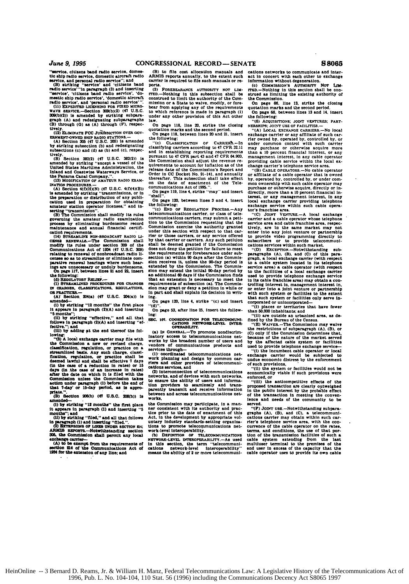*June* **9, 1995 COI**

"Service, citizens band radio service, domes- tic **ship** radio service, domestic alrcraft radio **service,** and personal radio service"; and

(B) striking "servIce' **and** 'citizens band radio service' **"in** paragraph **(3)** and inserting "service'. 'citizens band radio service'. **'do-**mastic **ship** radio service', domestic aircraft radio **service',** and 'personal radio service' **". (11)** EXPEDITED *L, IN* **O FOR FIXED** MICRo-

wAVaE SAVICE.Secton **309(b)(2)** (47 **U.S.C. C9b)(2)) is** amended **by** strking subpar**graph (A)** and redesignating subparagraph **(B)** through **(0) as (A)** through (Fi. respec- **tively.** (12) **ELOnSATE** FCC Jti **DIbtTIOS** OVER Gov-

ERNMENT-OWNED SHIP RADIO STATIONS.—<br>(A) Bection 305 (47 U.S.C. 305) is amended<br>by striking subsection (b) and redesignating<br>subsections (c) and (d) as (b) and (c), respec-

tively.<br>
ISO Section **382(2)** (47 **U.S.C. 382(2))** is<br>
unended by striking "except **a** vessel of the<br>United States Maritime Administration, the<br>
Inland and Coastwise Waterways Service. or

INATION PROCEDURES.--<br> **(A)** Section 4(fWHXN) (47 U.S.C. 4(fX4XB)<br>is amended by striking "transmissions. or in<br>the preparation or distribution of any publication used in preparation for obtaining amateur station operator licenses." and in-

sorting "'transmision". **(B)** The Commission shall modify Its rules governing the amateur radio examination process **by** eliminating burdensome record maintenance and annual financial certifl-

cation requirements.<br>(14) STREAMLINE NON-BROADCAST RADIO LI-<br>CENSE BENEWALS.-The Commission shall **CSHSE RENEWALS-The Commission** modify its rules under section 309 modify its rules under **section 309 of** the Communlcations Act of **1934** (47 **U.S.C. 309)** relating to renewal of nonbroadcast radio **li- cense** so **as** to streamne or eliminate com**palative** renewal hearings **where** such **hear-** ings **are** unnecessary or unduly burdensome. **On pags 11.** between lines 21 **and 22.** Insert

the following:<br> **(3) REGULATORY RELIEF....**<br> **(1) STREAMLINED PROCEDURES FOR CHANOES<br>
IN CHAROZS, CLASSIFICATIONS, REGULATIONS.** IN CHARGES, CLASSIFICATIONS, REGULATIONS,

**(A)'** Section **2D(a)** (4? **U.S.C. 204(a)) Is**

amended- **(1) by** striking "13 months" the first **place** it **appears** In paragraph (2)(A) **and** inserting

**"5** months": (Ii) **by** Strlking "effective." **and** all that **foUows** In paragraph **(2A)** and inserting **"ef**fective."; **and liii)** by adding **ft** the **end** thereof the fol-

**lowin.**

"(2) **A local** exchange carrier may **file** with the Commission a nsw or revised charge, classification, regulation, or practice on **<sup>a</sup>** stimnlined **beas.** Any such charge, **classi-**fication. regulation. or practice shall be deemed lawfl **and** Shall **be** effective **7** days (in the cas **of a** reduction In rates) or **15 days** (In .the cas of **an** increase **In** rates) *after* the date on which it **is** filed with the Ccanmisslon unlns the **Commission** takes action **under** paragraph **(I)** before the end of that **1-day"** or **IS-day** period. **as Is** appro- **pix'ate,".**

**(5)** Section **25(b)** (47 **U.S.C. 206(b)) is** mended--

**(l)** by striking "12 months" the first place it appears in paragraph (1) and inserting months"; and

months": and **(li) by** striking **"filed,** and **all** that follows

in paragraph (1) and inserting "filed.".<br>
(3) EXTENSIONS OF LIKES UNDER SECTION 21;<br>ARMIS BEPORTS...-Notwithstanding section<br>
305, the Commission shall nermit any local

exchange carrier- **(A)** to **be** exempt from the requirements of **section 34 of** 'the Comunications Act of **1M for** the extension of **ay line;** and

**(1)** to **file** cost allocation manuals and **ARMIS** reports annually, to the extent such carrier Is required to **file** such manuals or reports.<br>(3) FOREBEARANCE

(3) POREEXARANCE AUTHORITY NOT LIM-<br>
(TED.—Nothing in this subsection shall be<br>
construed to limit the authority of the Com-<br>
mission or a State to waive, modify, or fore-<br>
bear from applying any of the requirements<br>
to w under **any** other provision **of** this Act other

on page 118, line 20, strike the closing On page **118.** line **20.** strike the closing quotation marks and the second period. On page **118.** between lines **20** and 21. Insert the following:

Co. CLASSIFICATION OF CARRERS.-In<br>classifying carriers according to 47 CFR 32.11<br>and in establishing reporting requirements<br>pursuant to 47 CFR part 43 and 47 CFR 49.903,<br>the Commission shall adjust the revenue re-<br>release

thereafter. This subsection shall take effect<br>on the date of enactment of the Tele-<br>communications Act of 1995.".<br>On page 119, line **4**, strike "may" and insert<br>"shall".

**On** page 120, between lines **3** and 4. insert the following: **"(c)** *END OF* **REOULATION PROCEss-Any**

telecommunications carrier, or **class of** tele-communications carriers. may submit **a** petition to the Commission requesting that the Commission exercise the authority granted **under** this section with respect to that **car**rier or those carriers, or any service offered **by** that carrier or carriers. Any such petition **shall be** deemed granted if the Commission **does** not deny the petition for failure to meet the requirements for forehearance under sub-**section ia)** within **90** days after the Commission receives it, unless the 90-day period is<br>extended by the Commission. The Commission<br>sion may extend the initial 90-day period by<br>an additional 60 days if the Commission finds<br>that an extension is necessary to meet the **requirements of subsection (a). The Commission may grant or deny a petition in while or in part and shall explain its decision in writlng.**

**On** page **120.** line 4. strike **"i)** and insert

**"(d)".** On page *53,* after line **25,** insert the following:

SEC. **107.** COORDINATION **OR TESCCOIUNI. CATIONS NrWORI.LBVEL** INTER- OPERABIIry.

 $(a)$  IN GENERAL-To promote nondiscrim-Inatory **access** to telecommunications net- works **by** the broadest number of **users** and vendors of communications products and services through--

**(1)** cordInated telecommunications net- work planning and design **by** common **car-risrs** and other providers of telecommuni-cations services, **and**

(2) interconnection **of** telecommunications networks, **and** of devices with such networks. to ensure the ability of **users** and Information providers to seamiessly and trans-parentiy transmit **and** receive Information between and across telecommunications networks.

the Commission may participate, in **a** manner consistent with its authority and **prac**tics prior to the date of enactment **of** this Act, in the development **by** appropriate voluntary industry standards-setting organiza-<br>tions to promote telecommunications net-<br>work-level interoperability.<br> **i i b** DEFINITION OF TELECOMMUNICATIONS<sup>1</sup>

NETWORK-LEVEL INTEROPERABILITT.-As used<br>in this section. the term "telecommuni-<br>cations network-level interoperability" means the ability of 2 or more telecommunications networks to communicate and Inter-act In concert with each other to exchange information without degeneration.

**(C0 COMMISEION' AUTHORrTY NOT** LIM. rED.-NothIng in this section shall **be** con**strued as** limiting the existing authority of the Commission.

On page *66.* line **13.** strike the closing quotation marks and the second period. On **page** *66,* **between** lines **13** and **14,** insert

tollowing **"(6) ACQUISITIONS; JOINT VENTURES; PART-<br>NERSHIPS: JOINT USE OF FACILITIES.-**

**NERSHIPS; JOr'T USE OF FACILITIES.- "(A) LOCAL EXCHANOE CARRIERS.-No** local exchange carrier or any **affiliate** of such car-rier owned **by.** operated **by,** controlled **by,** or under common control with such **carrier** may purchase or otherwise acquire more than a **10** percent financial Interest, or any management interest. **In** any cable operator providing cable service within the local **ex-**change carrier's telephone service area. **"(h) CABLE OPEHATORS.-No** cable operator

or affiliate of a cable operator that **is** owned **by.** operated **by.** controlled **by.** or under com-**mon** ownership with such cable operator may purchase or otherwise acquire, directly or in-<br>directly, more than a 10 percent financial in-<br>terest, or any management interest, in any<br>local exchange carrier providing telephone exchange service within such cable opera-"s franchise area.<br>"s franchise area.<br>"(C) JOINT VENTURE.—A local exchange

"(C) John VENTURE...A local exchange carrier and a cable operator whose telephone<br>service area and cable franchise area, respectively, are in the same market may not<br>entitly in the same matched method of the series of the

cations services within such market. **"(D)** EX cEPION.-Notwithstanding sub-paragraphs **(A).** IS). and **(C) of** this **para**graph, a local exchange carrier (with respect to **a** cable system located In its telephone service area) **a** cable operator (with respect to the facilities of **a local** exchange carrier used to provide telephone exchange service **in** its cable franchise area) may obtain **a** controlling Interest **in.** management Interest in. or enter into **a joint** venture or partnership with such system or facilities to the extent that such system or facilities only serve **in-**corporated or unincorporated-

**"(i)** places or territories that have fewer than **50,900** inhabitants; and

**"i) are** outside an urbanized **area,** as **de-** fined **by** the Bureau of the Census.

**"(M) WAIVER.-The** Commission may waive the restrictions of subparagraph **(A)**, **(B)**, or **(C)** only if the Commission determines that,  $\mathbf{b}$  or the nature of the market served by the affected cable system or facilities

used to provide telephone exchange service-<br>"(i) the incumbent cable operator or local<br>exchange carrier would be subjected to<br>undue economic distress by the enforcement

of such provisions, **"(li)** the system or facilities would not be economically viable **If** such provisions were enforced, or

"(it) the anticompetitive effects of the proposed transacton *are* clearly outweighed in the public Interest **by** the probable effect of the transaction in meeting the conven- lence and **needs** of the community to be served.<br>
"(F) JOINT USE.-Notwithstanding subpara-

graphs **(A). IB). and (Ci. a** telecommuni-cations carrier may obtain within such **car**rier's telephone service area. with the con-currence of the cable operator on the rates. **terms,** and conditions, the use of that portion of the transmission facilities of such a cable system extending from the last multiuser terminal to the premises of the capacity that the cable cable operator uses to provide its own cable

the **Panama** Canal **Company.". (13) MODIFICATION OF AMATEUR** RADIO EXAM-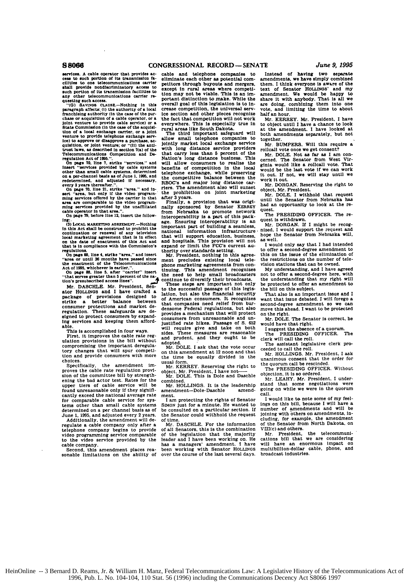shall **provide** nondiscriminatory **access** *to* except in rural areas where competi- text of Senator **HOLLINOS'** and **my** any other telecommunications carrier re-

paragraph affects: (i) the authority of a local crease competition, the universal serv- vote, and limiting the time to about tranchising authority (in the case of the pur- ice section and other pieces recognize half an hou chase or acquisition of a cable operator, or a the fact that competition will not work Mr. KERREY. Mr. President, I have<br>joint venture to provide cable service) or a everywhere. This is especially true in to object until I renomission of a cable operator, or a the fact that competition will not work Mr. KERREY. Mr. President, I have joint venture to provide cable service) or a everywhere. This is especially true in to object until I have a c **tion of a local** exchange carrier, or a joint The third important safeguard will both amendments separately, but not ice) to approve or disapprove a purchase. **ac-**

set and one of the carrier in that after 3 years.<br>In the services offered by the carrier in that after 3 years.<br>In the Senator REREY and an opportunity to look at the research operator in that area.".<br>In the senator in the

Notice that the construct of problem in the important part of building a seamless, while the continuation or renewal of problem in the construction infrastructure. Initial, I would support the request and local marketing In custom or enewal of any television hational information infrastructure alocal marketing agreement that is in effect that will leapport education, business, hope the Senator from Nebraska will, on the date of enectment t

and **Mr.** DASCHLE. Mr. President, Sen-<br>ator HOLLINGS and I have crafted a<br>package of provisions designed to ator HOLLINGS and I have crafted a lation, but also the financial security That also is an important issue and I package of provisions designed to of American consumers. It recognizes want that issue debated. I will forego regulation. These safeguards are de-<br>regulation. These safeguards are de-<br>signed to protect consumers by expand-<br>consumers from unreasonable and un-<br>the not E The Sanator is correct. he Example to protect consumers by expand-<br>Ing services and keeping them afford-<br>able. **b 652 b 652 c**  $\frac{1}{2}$  **b 652 c 653 c 653 c 65 c 65 c 652 c 65 c 65 c 6 c 6 c 6 c**

First, it improves the cable rate reg-<br>ulation provisions in the bill without adopted.<br>ulation provisions in the bill without adopted.<br>the second center of the assistant legislative clerk pro-<br>tony changes that will spur compromising the important deregula-<br>tory changes that will spur competi- Mr. DOLE. I ask that the vote occur ceeded to call the roll.<br>tory changes that will spur competi- on this amendment at 12 noon and that Mr. HOLLINGS

Specifically, the amendment im- $\frac{\text{MIR}}{\text{MIR}}$ . KERREY. Reserving the right to proves the cable rate regulation provi-<br>sion of the committee bill by strength- $\frac{\text{MIP}}{\text{MIP}}$ . DOLE. This is Dole and Daschle proves the cable rate regulation provi-<br>sion of the committee bill by strength-<br>ening the bad actor test. Rates for the combined.<br>Mr. LEAHY. Mr. Presidenting the bad actor test. Rates for the combined. ening the bat occur text of cable service will be Mr. HOLLINGS. It is the leadership stand that some negotiations were<br>found unreasonable only if they signifi- amendment-Dole-Daschle amend- going on while we were in the qu spect was a cancel the national average rate mendment—Dole-Daschle amend- going on while we were in the quorum<br>cantly exceed the national average rate ment. Call.<br>for commarable cable service for sys-<br>for commarable cable

regulate a cable company only after a Mr. DASCHLE. For the information of the Senator from North Dakota. on telephone company begins to provide of all Senators. this is the combination VtII(c) and others.

services. A cable operator that provides ac- cable and telephone companies cess to such portion of its transmission fa-<br>clilities to one telecommunications carrier parting through hugouts and mergential eliminate each other as potential com-<br>amendments, we have simply combined<br>petitors through buyoute and mergers, them. I think everyone is aware of the<br>except in rural areas where competi- text of Senator HOLLINGS' and my<br> **such portion of** its **transmission facilities** *to* **tion may not be viable.** This **Is an Ir- amendment. We would be happy to** any other telecommunications carrier re-<br>questing such access.<br>"G) Savivas clause whothing in this overall goal of this legislation is to in-Fortant distinction to make. While the share it with anybody. That is all we overall goal of this legislation is to in- are doing, combining them into one crease competition, the universal serv- vote, and limiting the time

The third important safeguard will not the allowing small telephone companies to together. equisition, or joint venture; or "(ii) the and-<br>unit bom distance service providers relief on the state of the state of the way as described in sections as the<br>relief of the method in section of the state of the method in ices to approve or disapprove a purchase. ac-<br>subwerfation, or joint venture; or "(ii) the anti-blockly market local exchange service Mr. BUMPERS. Will this require a<br>trust have, as described in section 7(a) of the with lo nother than small cable systems, determined telephone exchange, while preserving would be the last vote if we can work<br>on a per-channel basis as of June 1, 1955, and the competitive balance between the out. If not, we will On page 70, line 21, strike "area." and in-<br>sert "area, but only if the video program- the prohibition on joint marketing Mr. DOLE, I withhold that reques

**(3) LOcAL** *Ag:* **KE'i aOREEs.Lv.--Nothing** age. Ensuring interoperability is **an** quest is withdrawn. on the deposit outcation, business, will contained and and and and and and and and and hospitals. This provision will not as well.

Act of 1995, whichever is earlier."<br>
This amendment recognizes My understanding, and I have agreed<br>
"that serves greater than 5 percent of the na-<br>
that serves greater than 5 percent of the na-<br>
and the need to help small On page **88.** line **5.** after "carrier" insert **tinuing. This amendment recognizes My** understanding, **and I have agreed**

able.<br>This is accomplished in four ways. Will require give and take on both I suggest the absence of a quorum.<br>This is accomplished in four ways. sides. These measures are reasonable The PRESIDING OFFICER. The<br>First, it im

tory changes that will spur competi-<br>tion and provide consumers with more the time be equally divided in the  $M$ r. HOLLINGS, Mr. President, I ask<br>choices

for comparable capacities for a minute. He wanted to ings on this bill, because I will have a minute. He wanted to ings on this bill, because I will have a tems other than small cable systems SIMON just for a minute. He wanted to determined on a per channel basis as of be consulted on a particular section. If Just June 1, 1995, and adjusted every 2 years. the Senator could wi June 1. 1995, and adjusted every 2 years. the Senator could withhold the request<br>Additionally, the amendment will de- of time.<br>
regulate a cable company only after a Mr. DASCHLE. For the information

video programming service comparable of all Senators, this is the combination VIII(c) and others.<br>video programming service comparable of the legislation that the majority Mr. President. the telecommuni-<br>to the video servi view provided by the leader and I have been working on. He cations bill that we are considering<br>cable company. https://www.margers.com/argers.com/argers.com/argers/2012/2012/2012/2012<br>Second, this amendment places real bee second, this amendment places rea-been working with Senator HoLLINGS multibillion-dollar sonable limitations on the ability of over the course of the last several days. broadcast industries.

amendments, we have simply combined<br>them. I think everyone is aware of the

begulations, the distribution of the second-degree amendment to offer a second-degree amendment to or page 88, line 4, strike "area," and insert Mr. President, nothing in this agree- this on the issue of the elimination of

that serves greater than a percent of the matter of the steps are important. The understanding that my right will<br>Mr. DASCHLE. Mr. President, Sentern and These steps are important not only be protected to offer an amendme

choices.<br>Choices and the quorum call be rescinded.<br>Specifically, the amendment im- Mr. KERREY. Reserving the right to the quorum call be rescinded.

Mr. DOLE. This is Dole and Daschle Voictom, who we declear it under-<br>minimed. Mr. Health and the combined actor the combined. Mr. President. I under-<br>Mr. HOLLINGS. It is the leadership stand that some negotiations were

number of amendments and will be joining with others on amendments, including, for example, the amendment of the Senator from North Dakota, on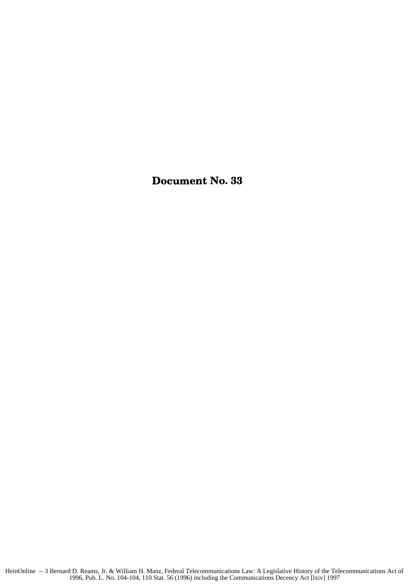## Document No. **33**